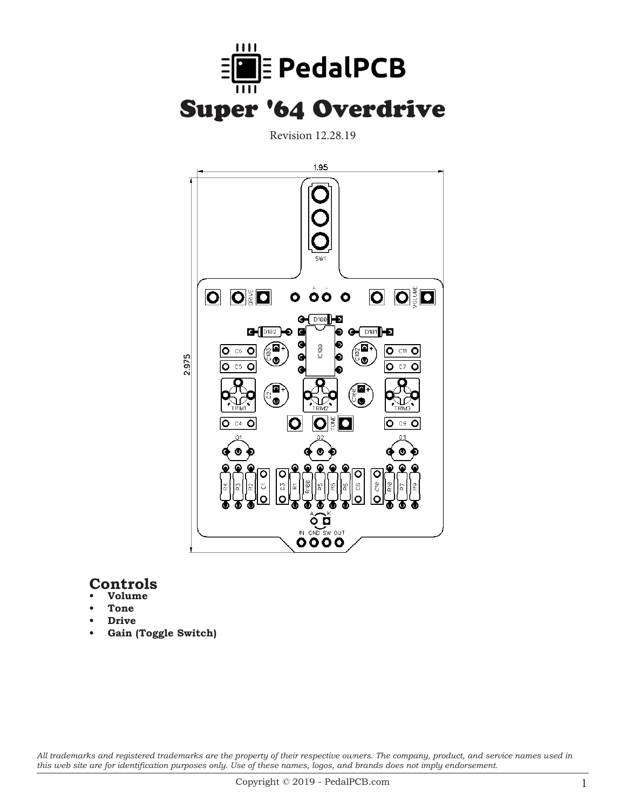

Revision 12.28.19



### **Controls**

- **• Volume**
- **• Tone**
- **Drive**
- **• Gain (Toggle Switch)**

*All trademarks and registered trademarks are the property of their respective owners. The company, product, and service names used in this web site are for identification purposes only. Use of these names, logos, and brands does not imply endorsement.*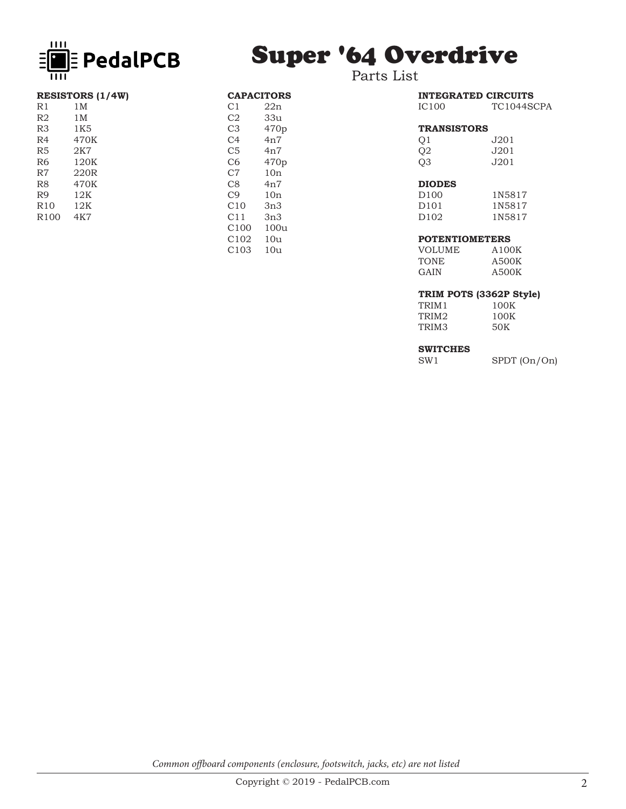

**RESISTORS** (1/4W)<br>R1 1M

1K5 R4 470K R5 2K7<br>R6 120E

120K

R1 1M<br>R2 1M R2 1M<br>R3 1K5

R7 220R R8 470K R9 12K R10 12K R100 4K7

# Super '64 Overdrive

Parts List

CAPACITORS<br>C1 22n C1 22n<br>C2 33u C<sub>2</sub> 33u<br>C<sub>3</sub> 470p

C4 4n7 C5 4n7<br>C6 470

C7 10n C8 4n7<br>C9 10n C9 10n<br>C10 3n3 3n3

C11 3n3<br>C100 100u 100u

C102 10u C103 10u

470p

470p

| <b>IC100</b>       | <b>INTEGRATED CIRCUITS</b><br>TC1044SCPA |
|--------------------|------------------------------------------|
| <b>TRANSISTORS</b> |                                          |
| O1                 | J201                                     |
| Q2                 | J201                                     |
| O <sub>3</sub>     | J201.                                    |
|                    |                                          |
| <b>DIODES</b>      |                                          |
| ∩∩ רח              | 1 N E Q 1 7                              |

#### D100 1N5817 D101 1N5817<br>D102 1N5817 1N5817

#### **POTENTIOMETERS**

| A100K |
|-------|
| A500K |
| A500K |
|       |

#### **TRIM POTS (3362P Style)**

| 100K |
|------|
| 100K |
| 50K  |
|      |

## **SWITCHES**<br>SW1

SPDT (On/On)

*Common offboard components (enclosure, footswitch, jacks, etc) are not listed*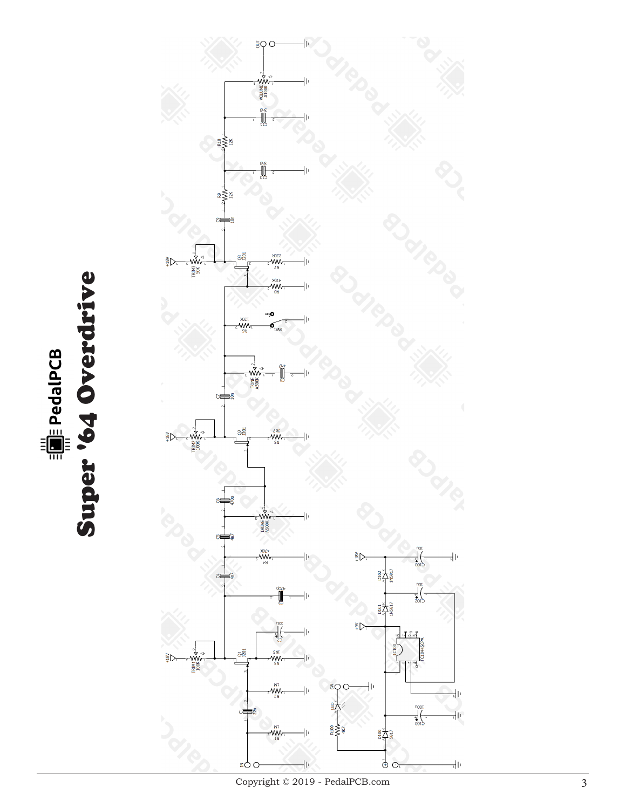

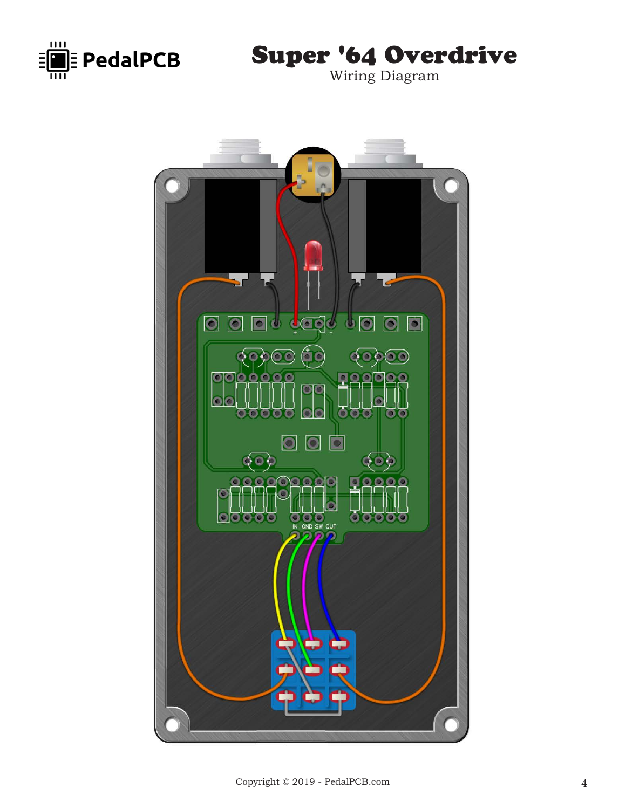

Super '64 Overdrive

Wiring Diagram